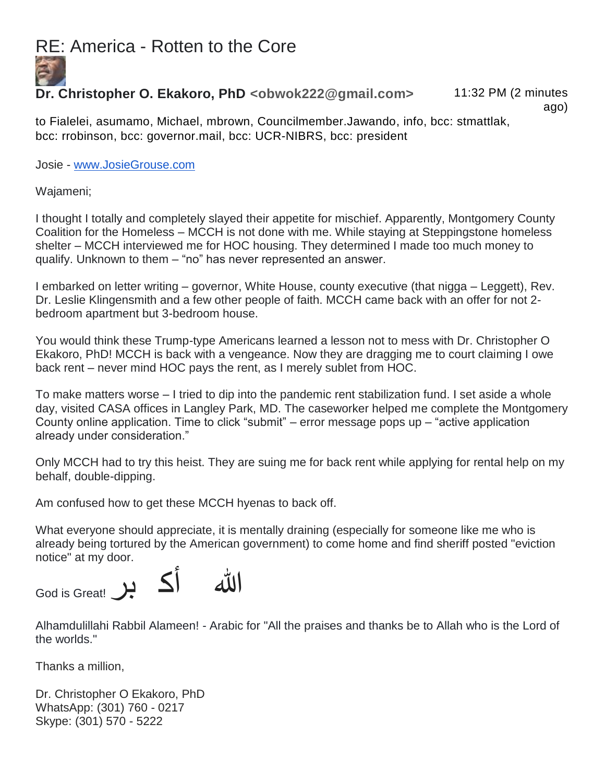## RE: America - Rotten to the Core



## **Dr. Christopher O. Ekakoro, PhD <obwok222@gmail.com>** 11:32 PM (2 minutes

ago)

to Fialelei, asumamo, Michael, mbrown, Councilmember.Jawando, info, bcc: stmattlak, bcc: rrobinson, bcc: governor.mail, bcc: UCR-NIBRS, bcc: president

Josie - [www.JosieGrouse.com](http://www.josiegrouse.com/)

Wajameni;

I thought I totally and completely slayed their appetite for mischief. Apparently, Montgomery County Coalition for the Homeless – MCCH is not done with me. While staying at Steppingstone homeless shelter – MCCH interviewed me for HOC housing. They determined I made too much money to qualify. Unknown to them – "no" has never represented an answer.

I embarked on letter writing – governor, White House, county executive (that nigga – Leggett), Rev. Dr. Leslie Klingensmith and a few other people of faith. MCCH came back with an offer for not 2 bedroom apartment but 3-bedroom house.

You would think these Trump-type Americans learned a lesson not to mess with Dr. Christopher O Ekakoro, PhD! MCCH is back with a vengeance. Now they are dragging me to court claiming I owe back rent – never mind HOC pays the rent, as I merely sublet from HOC.

To make matters worse – I tried to dip into the pandemic rent stabilization fund. I set aside a whole day, visited CASA offices in Langley Park, MD. The caseworker helped me complete the Montgomery County online application. Time to click "submit" – error message pops up – "active application already under consideration."

Only MCCH had to try this heist. They are suing me for back rent while applying for rental help on my behalf, double-dipping.

Am confused how to get these MCCH hyenas to back off.

What everyone should appreciate, it is mentally draining (especially for someone like me who is already being tortured by the American government) to come home and find sheriff posted "eviction notice" at my door.



Alhamdulillahi Rabbil Alameen! - Arabic for "All the praises and thanks be to Allah who is the Lord of the worlds."

Thanks a million,

Dr. Christopher O Ekakoro, PhD WhatsApp: (301) 760 - 0217 Skype: (301) 570 - 5222